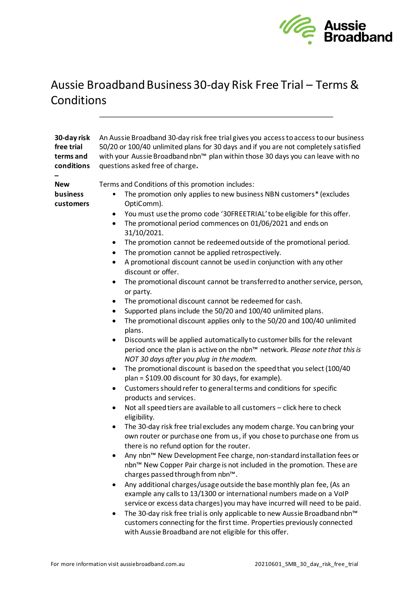

## Aussie Broadband Business 30-day Risk Free Trial – Terms & Conditions

| 30-day risk<br>free trial<br>terms and<br>conditions | An Aussie Broadband 30-day risk free trial gives you access to access to our business<br>50/20 or 100/40 unlimited plans for 30 days and if you are not completely satisfied<br>with your Aussie Broadband nbn™ plan within those 30 days you can leave with no<br>questions asked free of charge.                                                                                                                                                                                                                                                                                                                                                                                                                                                                                                                                                                                                                                                                                                                                                                                                                                                                                                                                                                                                                                                                                                                                                                                                                                                                                                                                                                                                                                                                                                                                                                                                                                                                                                                                                                                                                                                                                    |
|------------------------------------------------------|---------------------------------------------------------------------------------------------------------------------------------------------------------------------------------------------------------------------------------------------------------------------------------------------------------------------------------------------------------------------------------------------------------------------------------------------------------------------------------------------------------------------------------------------------------------------------------------------------------------------------------------------------------------------------------------------------------------------------------------------------------------------------------------------------------------------------------------------------------------------------------------------------------------------------------------------------------------------------------------------------------------------------------------------------------------------------------------------------------------------------------------------------------------------------------------------------------------------------------------------------------------------------------------------------------------------------------------------------------------------------------------------------------------------------------------------------------------------------------------------------------------------------------------------------------------------------------------------------------------------------------------------------------------------------------------------------------------------------------------------------------------------------------------------------------------------------------------------------------------------------------------------------------------------------------------------------------------------------------------------------------------------------------------------------------------------------------------------------------------------------------------------------------------------------------------|
| <b>New</b><br>business<br>customers                  | Terms and Conditions of this promotion includes:<br>The promotion only applies to new business NBN customers* (excludes<br>OptiComm).<br>You must use the promo code '30FREETRIAL' to be eligible for this offer.<br>٠<br>The promotional period commences on 01/06/2021 and ends on<br>$\bullet$<br>31/10/2021.<br>The promotion cannot be redeemed outside of the promotional period.<br>٠<br>The promotion cannot be applied retrospectively.<br>$\bullet$<br>A promotional discount cannot be used in conjunction with any other<br>$\bullet$<br>discount or offer.<br>The promotional discount cannot be transferred to another service, person,<br>$\bullet$<br>or party.<br>The promotional discount cannot be redeemed for cash.<br>٠<br>Supported plans include the 50/20 and 100/40 unlimited plans.<br>The promotional discount applies only to the 50/20 and 100/40 unlimited<br>plans.<br>Discounts will be applied automatically to customer bills for the relevant<br>period once the plan is active on the nbn™ network. Please note that this is<br>NOT 30 days after you plug in the modem.<br>The promotional discount is based on the speed that you select (100/40<br>٠<br>plan = \$109.00 discount for 30 days, for example).<br>Customers should refer to general terms and conditions for specific<br>٠<br>products and services.<br>Not all speed tiers are available to all customers - click here to check<br>eligibility.<br>The 30-day risk free trial excludes any modem charge. You can bring your<br>$\bullet$<br>own router or purchase one from us, if you chose to purchase one from us<br>there is no refund option for the router.<br>Any nbn™ New Development Fee charge, non-standard installation fees or<br>nbn™ New Copper Pair charge is not included in the promotion. These are<br>charges passed through from nbn™.<br>Any additional charges/usage outside the base monthly plan fee, (As an<br>٠<br>example any calls to 13/1300 or international numbers made on a VoIP<br>service or excess data charges) you may have incurred will need to be paid.<br>The 30-day risk free trial is only applicable to new Aussie Broadband nbn™ |
|                                                      | customers connecting for the first time. Properties previously connected                                                                                                                                                                                                                                                                                                                                                                                                                                                                                                                                                                                                                                                                                                                                                                                                                                                                                                                                                                                                                                                                                                                                                                                                                                                                                                                                                                                                                                                                                                                                                                                                                                                                                                                                                                                                                                                                                                                                                                                                                                                                                                              |

with Aussie Broadband are not eligible for this offer.